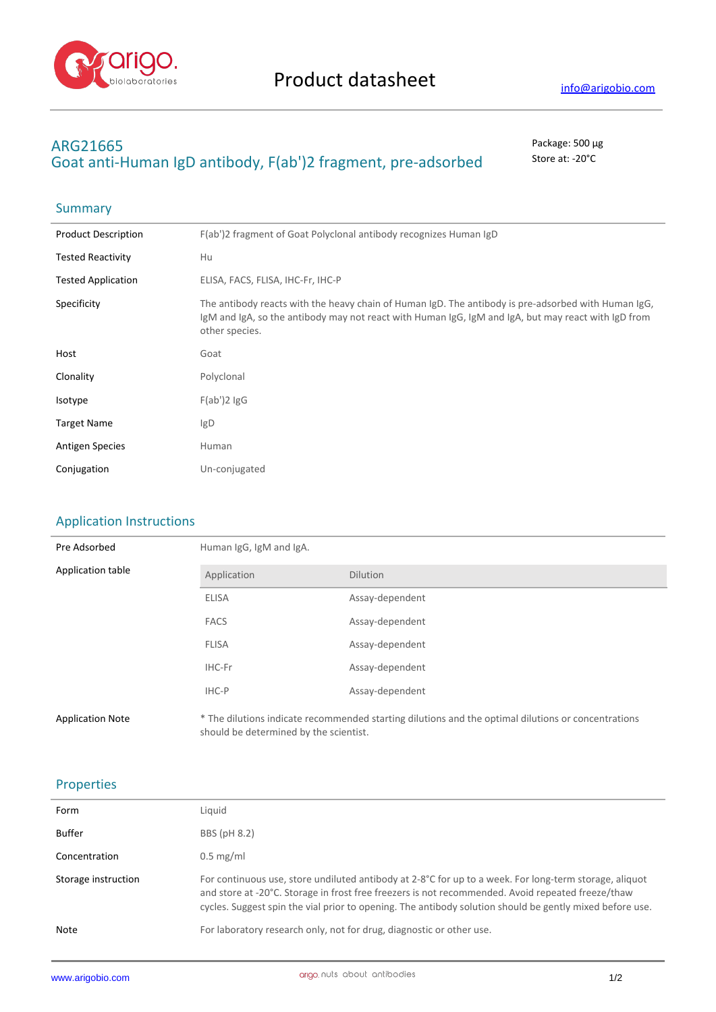

**Summary** 

# **ARG21665** Package: 500 μg Goat anti-Human IgD antibody, F(ab')2 fragment, pre-adsorbed store at: -20°C

| <b>Product Description</b> | F(ab')2 fragment of Goat Polyclonal antibody recognizes Human IgD                                                                                                                                                            |
|----------------------------|------------------------------------------------------------------------------------------------------------------------------------------------------------------------------------------------------------------------------|
| <b>Tested Reactivity</b>   | Hu                                                                                                                                                                                                                           |
| <b>Tested Application</b>  | ELISA, FACS, FLISA, IHC-Fr, IHC-P                                                                                                                                                                                            |
| Specificity                | The antibody reacts with the heavy chain of Human IgD. The antibody is pre-adsorbed with Human IgG,<br>IgM and IgA, so the antibody may not react with Human IgG, IgM and IgA, but may react with IgD from<br>other species. |
| Host                       | Goat                                                                                                                                                                                                                         |
| Clonality                  | Polyclonal                                                                                                                                                                                                                   |
| Isotype                    | $F(ab')2$ lgG                                                                                                                                                                                                                |
| <b>Target Name</b>         | lg <sub>D</sub>                                                                                                                                                                                                              |
| <b>Antigen Species</b>     | Human                                                                                                                                                                                                                        |
| Conjugation                | Un-conjugated                                                                                                                                                                                                                |

## Application Instructions

| Pre Adsorbed            | Human IgG, IgM and IgA.                |                                                                                                     |  |
|-------------------------|----------------------------------------|-----------------------------------------------------------------------------------------------------|--|
| Application table       | Application                            | <b>Dilution</b>                                                                                     |  |
|                         | <b>ELISA</b>                           | Assay-dependent                                                                                     |  |
|                         | <b>FACS</b>                            | Assay-dependent                                                                                     |  |
|                         | <b>FLISA</b>                           | Assay-dependent                                                                                     |  |
|                         | IHC-Fr                                 | Assay-dependent                                                                                     |  |
|                         | IHC-P                                  | Assay-dependent                                                                                     |  |
| <b>Application Note</b> | should be determined by the scientist. | * The dilutions indicate recommended starting dilutions and the optimal dilutions or concentrations |  |

## Properties

| Form                | Liquid                                                                                                                                                                                                                                                                                                                  |
|---------------------|-------------------------------------------------------------------------------------------------------------------------------------------------------------------------------------------------------------------------------------------------------------------------------------------------------------------------|
| Buffer              | BBS (pH 8.2)                                                                                                                                                                                                                                                                                                            |
| Concentration       | $0.5$ mg/ml                                                                                                                                                                                                                                                                                                             |
| Storage instruction | For continuous use, store undiluted antibody at 2-8°C for up to a week. For long-term storage, aliquot<br>and store at -20°C. Storage in frost free freezers is not recommended. Avoid repeated freeze/thaw<br>cycles. Suggest spin the vial prior to opening. The antibody solution should be gently mixed before use. |
| Note                | For laboratory research only, not for drug, diagnostic or other use.                                                                                                                                                                                                                                                    |